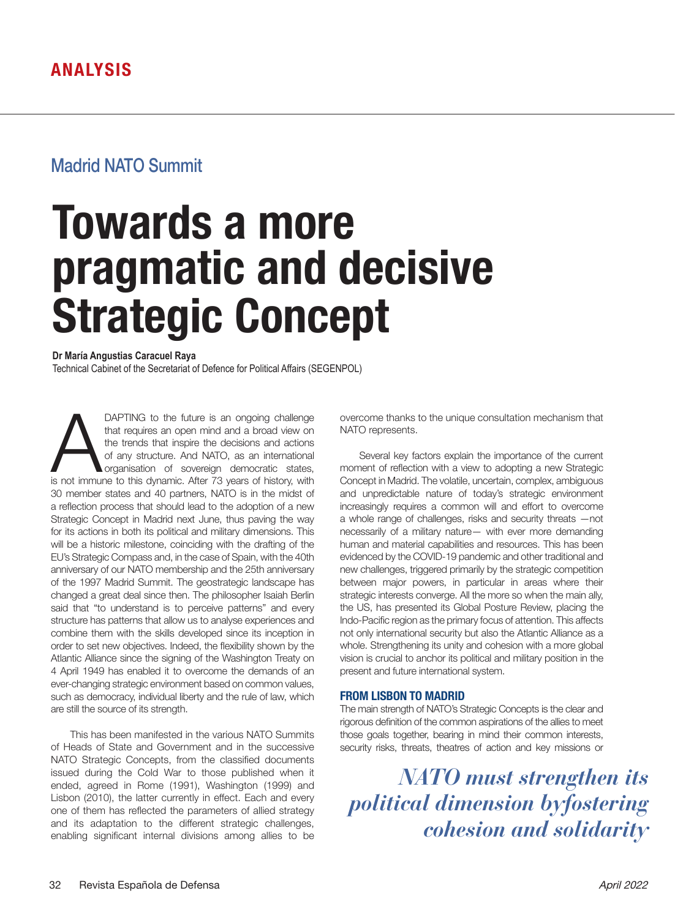## Madrid NATO Summit

# **Towards a more pragmatic and decisive Strategic Concept**

**Dr María Angustias Caracuel Raya** Technical Cabinet of the Secretariat of Defence for Political Affairs (SEGENPOL)

DAPTING to the future is an ongoing challenge<br>that requires an open mind and a broad view on<br>the trends that inspire the decisions and actions<br>of any structure. And NATO, as an international<br>organisation of sovereign democ that requires an open mind and a broad view on the trends that inspire the decisions and actions of any structure. And NATO, as an international organisation of sovereign democratic states, 30 member states and 40 partners, NATO is in the midst of a reflection process that should lead to the adoption of a new Strategic Concept in Madrid next June, thus paving the way for its actions in both its political and military dimensions. This will be a historic milestone, coinciding with the drafting of the EU's Strategic Compass and, in the case of Spain, with the 40th anniversary of our NATO membership and the 25th anniversary of the 1997 Madrid Summit. The geostrategic landscape has changed a great deal since then. The philosopher Isaiah Berlin said that "to understand is to perceive patterns" and every structure has patterns that allow us to analyse experiences and combine them with the skills developed since its inception in order to set new objectives. Indeed, the flexibility shown by the Atlantic Alliance since the signing of the Washington Treaty on 4 April 1949 has enabled it to overcome the demands of an ever-changing strategic environment based on common values, such as democracy, individual liberty and the rule of law, which are still the source of its strength.

This has been manifested in the various NATO Summits of Heads of State and Government and in the successive NATO Strategic Concepts, from the classified documents issued during the Cold War to those published when it ended, agreed in Rome (1991), Washington (1999) and Lisbon (2010), the latter currently in effect. Each and every one of them has reflected the parameters of allied strategy and its adaptation to the different strategic challenges, enabling significant internal divisions among allies to be overcome thanks to the unique consultation mechanism that NATO represents.

Several key factors explain the importance of the current moment of reflection with a view to adopting a new Strategic Concept in Madrid. The volatile, uncertain, complex, ambiguous and unpredictable nature of today's strategic environment increasingly requires a common will and effort to overcome a whole range of challenges, risks and security threats —not necessarily of a military nature— with ever more demanding human and material capabilities and resources. This has been evidenced by the COVID-19 pandemic and other traditional and new challenges, triggered primarily by the strategic competition between major powers, in particular in areas where their strategic interests converge. All the more so when the main ally, the US, has presented its Global Posture Review, placing the Indo-Pacific region as the primary focus of attention. This affects not only international security but also the Atlantic Alliance as a whole. Strengthening its unity and cohesion with a more global vision is crucial to anchor its political and military position in the present and future international system.

### **FROM LISBON TO MADRID**

The main strength of NATO's Strategic Concepts is the clear and rigorous definition of the common aspirations of the allies to meet those goals together, bearing in mind their common interests, security risks, threats, theatres of action and key missions or

*NATO must strengthen its political dimension byfostering cohesion and solidarity*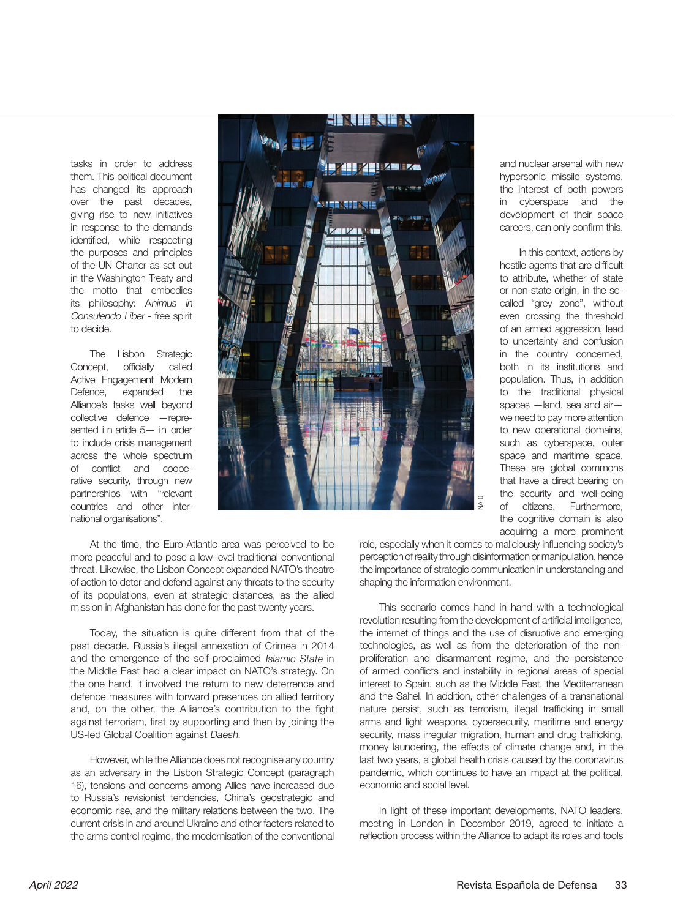tasks in order to address them. This political document has changed its approach over the past decades, giving rise to new initiatives in response to the demands identified, while respecting the purposes and principles of the UN Charter as set out in the Washington Treaty and the motto that embodies its philosophy: Animus in Consulendo Liber - free spirit to decide.

The Lisbon Strategic Concept, officially called Active Engagement Modern Defence, expanded the Alliance's tasks well beyond collective defence —represented i n article 5- in order to include crisis management across the whole spectrum of conflict and cooperative security, through new partnerships with "relevant countries and other international organisations".



At the time, the Euro-Atlantic area was perceived to be more peaceful and to pose a low-level traditional conventional threat. Likewise, the Lisbon Concept expanded NATO's theatre of action to deter and defend against any threats to the security of its populations, even at strategic distances, as the allied mission in Afghanistan has done for the past twenty years.

Today, the situation is quite different from that of the past decade. Russia's illegal annexation of Crimea in 2014 and the emergence of the self-proclaimed Islamic State in the Middle East had a clear impact on NATO's strategy. On the one hand, it involved the return to new deterrence and defence measures with forward presences on allied territory and, on the other, the Alliance's contribution to the fight against terrorism, first by supporting and then by joining the US-led Global Coalition against Daesh.

However, while the Alliance does not recognise any country as an adversary in the Lisbon Strategic Concept (paragraph 16), tensions and concerns among Allies have increased due to Russia's revisionist tendencies, China's geostrategic and economic rise, and the military relations between the two. The current crisis in and around Ukraine and other factors related to the arms control regime, the modernisation of the conventional and nuclear arsenal with new hypersonic missile systems, the interest of both powers in cyberspace and the development of their space careers, can only confirm this.

In this context, actions by hostile agents that are difficult to attribute, whether of state or non-state origin, in the socalled "grey zone", without even crossing the threshold of an armed aggression, lead to uncertainty and confusion in the country concerned, both in its institutions and population. Thus, in addition to the traditional physical spaces —land, sea and air we need to pay more attention to new operational domains, such as cyberspace, outer space and maritime space. These are global commons that have a direct bearing on the security and well-being<br>of citizens. Furthermore. of citizens. Furthermore, the cognitive domain is also acquiring a more prominent

role, especially when it comes to maliciously influencing society's perception of reality through disinformation or manipulation, hence the importance of strategic communication in understanding and shaping the information environment.

This scenario comes hand in hand with a technological revolution resulting from the development of artificial intelligence, the internet of things and the use of disruptive and emerging technologies, as well as from the deterioration of the nonproliferation and disarmament regime, and the persistence of armed conflicts and instability in regional areas of special interest to Spain, such as the Middle East, the Mediterranean and the Sahel. In addition, other challenges of a transnational nature persist, such as terrorism, illegal trafficking in small arms and light weapons, cybersecurity, maritime and energy security, mass irregular migration, human and drug trafficking, money laundering, the effects of climate change and, in the last two years, a global health crisis caused by the coronavirus pandemic, which continues to have an impact at the political, economic and social level. For continuosity of the complete contribution is also role, especially when it comes to malciolously infunctions contributed process provides the importance of strategic communication or manipulation, hence the importance

In light of these important developments, NATO leaders, meeting in London in December 2019, agreed to initiate a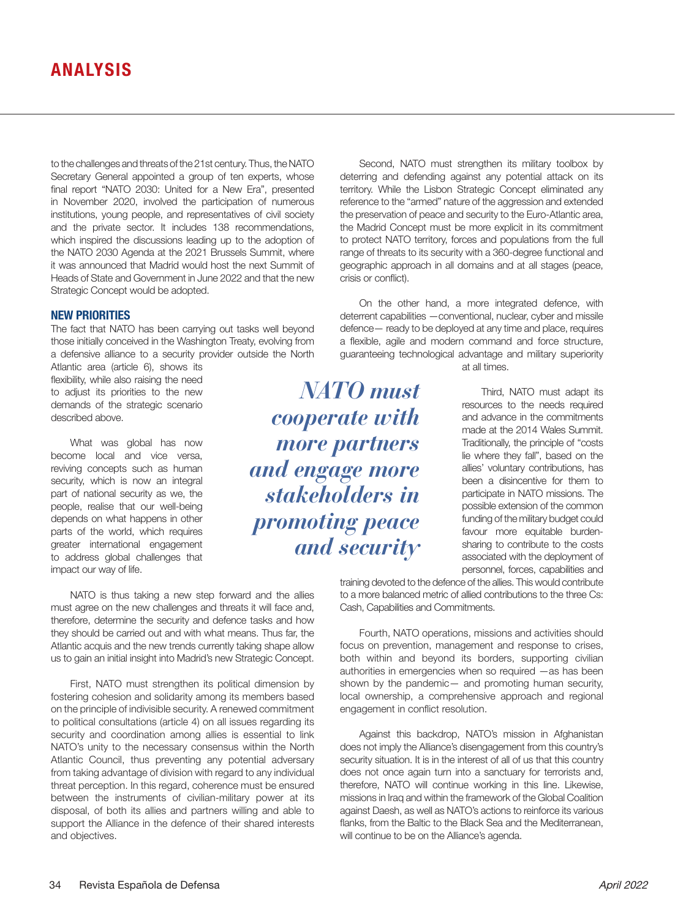to the challenges and threats of the 21st century. Thus, the NATO Secretary General appointed a group of ten experts, whose final report "NATO 2030: United for a New Era", presented in November 2020, involved the participation of numerous institutions, young people, and representatives of civil society and the private sector. It includes 138 recommendations, which inspired the discussions leading up to the adoption of the NATO 2030 Agenda at the 2021 Brussels Summit, where it was announced that Madrid would host the next Summit of Heads of State and Government in June 2022 and that the new Strategic Concept would be adopted.

#### **NEW PRIORITIES**

The fact that NATO has been carrying out tasks well beyond those initially conceived in the Washington Treaty, evolving from a defensive alliance to a security provider outside the North

Atlantic area (article 6), shows its flexibility, while also raising the need to adjust its priorities to the new demands of the strategic scenario described above.

What was global has now become local and vice versa, reviving concepts such as human security, which is now an integral part of national security as we, the people, realise that our well-being depends on what happens in other parts of the world, which requires greater international engagement to address global challenges that impact our way of life.

NATO is thus taking a new step forward and the allies must agree on the new challenges and threats it will face and, therefore, determine the security and defence tasks and how they should be carried out and with what means. Thus far, the Atlantic acquis and the new trends currently taking shape allow us to gain an initial insight into Madrid's new Strategic Concept.

First, NATO must strengthen its political dimension by fostering cohesion and solidarity among its members based on the principle of indivisible security. A renewed commitment to political consultations (article 4) on all issues regarding its security and coordination among allies is essential to link NATO's unity to the necessary consensus within the North Atlantic Council, thus preventing any potential adversary from taking advantage of division with regard to any individual threat perception. In this regard, coherence must be ensured between the instruments of civilian-military power at its disposal, of both its allies and partners willing and able to support the Alliance in the defence of their shared interests and objectives.

Second, NATO must strengthen its military toolbox by deterring and defending against any potential attack on its territory. While the Lisbon Strategic Concept eliminated any reference to the "armed" nature of the aggression and extended the preservation of peace and security to the Euro-Atlantic area, the Madrid Concept must be more explicit in its commitment to protect NATO territory, forces and populations from the full range of threats to its security with a 360-degree functional and geographic approach in all domains and at all stages (peace, crisis or conflict).

On the other hand, a more integrated defence, with deterrent capabilities —conventional, nuclear, cyber and missile defence— ready to be deployed at any time and place, requires a flexible, agile and modern command and force structure, guaranteeing technological advantage and military superiority

*NATO must cooperate with more partners and engage more stakeholders in promoting peace and security* at all times.

Third, NATO must adapt its resources to the needs required and advance in the commitments made at the 2014 Wales Summit. Traditionally, the principle of "costs lie where they fall", based on the allies' voluntary contributions, has been a disincentive for them to participate in NATO missions. The possible extension of the common funding of the military budget could favour more equitable burdensharing to contribute to the costs associated with the deployment of personnel, forces, capabilities and

training devoted to the defence of the allies. This would contribute to a more balanced metric of allied contributions to the three Cs: Cash, Capabilities and Commitments.

Fourth, NATO operations, missions and activities should focus on prevention, management and response to crises, both within and beyond its borders, supporting civilian authorities in emergencies when so required —as has been shown by the pandemic— and promoting human security, local ownership, a comprehensive approach and regional engagement in conflict resolution.

Against this backdrop, NATO's mission in Afghanistan does not imply the Alliance's disengagement from this country's security situation. It is in the interest of all of us that this country does not once again turn into a sanctuary for terrorists and, therefore, NATO will continue working in this line. Likewise, missions in Iraq and within the framework of the Global Coalition against Daesh, as well as NATO's actions to reinforce its various flanks, from the Baltic to the Black Sea and the Mediterranean, will continue to be on the Alliance's agenda.